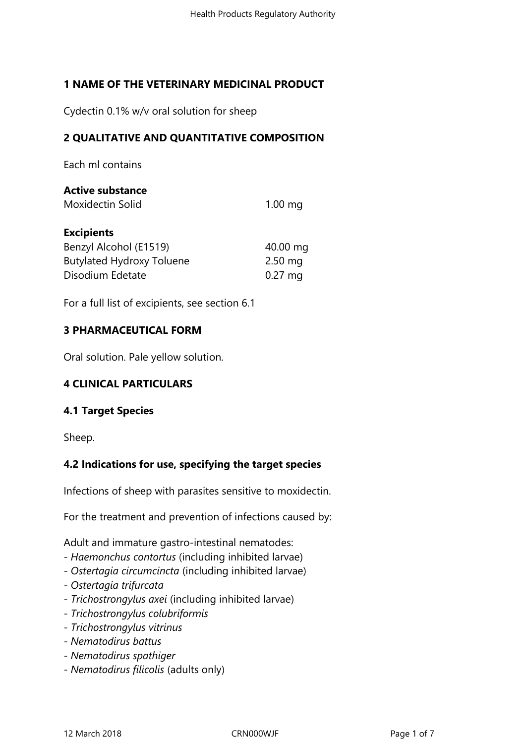# **1 NAME OF THE VETERINARY MEDICINAL PRODUCT**

Cydectin 0.1% w/v oral solution for sheep

## **2 QUALITATIVE AND QUANTITATIVE COMPOSITION**

Each ml contains

#### **Active substance**

Moxidectin Solid 1.00 mg

#### **Excipients**

| Benzyl Alcohol (E1519)           | 40.00 mg  |
|----------------------------------|-----------|
| <b>Butylated Hydroxy Toluene</b> | $2.50$ mg |
| Disodium Edetate                 | $0.27$ mg |

For a full list of excipients, see section 6.1

#### **3 PHARMACEUTICAL FORM**

Oral solution. Pale yellow solution.

## **4 CLINICAL PARTICULARS**

## **4.1 Target Species**

Sheep.

## **4.2 Indications for use, specifying the target species**

Infections of sheep with parasites sensitive to moxidectin.

For the treatment and prevention of infections caused by:

Adult and immature gastro-intestinal nematodes:

- *Haemonchus contortus* (including inhibited larvae)
- *Ostertagia circumcincta* (including inhibited larvae)
- *Ostertagia trifurcata*
- *Trichostrongylus axei* (including inhibited larvae)
- *Trichostrongylus colubriformis*
- *Trichostrongylus vitrinus*
- *Nematodirus battus*
- *Nematodirus spathiger*
- *Nematodirus filicolis* (adults only)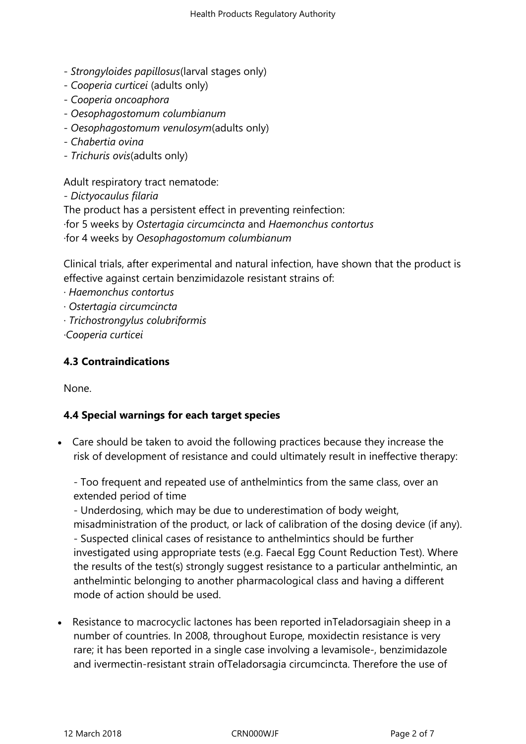- *Strongyloides papillosus*(larval stages only)
- *Cooperia curticei* (adults only)
- *Cooperia oncoaphora*
- *Oesophagostomum columbianum*
- *Oesophagostomum venulosym*(adults only)
- *Chabertia ovina*
- *Trichuris ovis*(adults only)

Adult respiratory tract nematode:

- *Dictyocaulus filaria*

The product has a persistent effect in preventing reinfection:

- ·for 5 weeks by *Ostertagia circumcincta* and *Haemonchus contortus*
- ·for 4 weeks by *Oesophagostomum columbianum*

Clinical trials, after experimental and natural infection, have shown that the product is effective against certain benzimidazole resistant strains of:

- · *Haemonchus contortus*
- · *Ostertagia circumcincta*
- · *Trichostrongylus colubriformis*

*·Cooperia curticei*

# **4.3 Contraindications**

None.

## **4.4 Special warnings for each target species**

 Care should be taken to avoid the following practices because they increase the risk of development of resistance and could ultimately result in ineffective therapy:

- Too frequent and repeated use of anthelmintics from the same class, over an extended period of time

- Underdosing, which may be due to underestimation of body weight,

misadministration of the product, or lack of calibration of the dosing device (if any). - Suspected clinical cases of resistance to anthelmintics should be further investigated using appropriate tests (e.g. Faecal Egg Count Reduction Test). Where the results of the test(s) strongly suggest resistance to a particular anthelmintic, an anthelmintic belonging to another pharmacological class and having a different mode of action should be used.

 Resistance to macrocyclic lactones has been reported inTeladorsagiain sheep in a number of countries. In 2008, throughout Europe, moxidectin resistance is very rare; it has been reported in a single case involving a levamisole-, benzimidazole and ivermectin-resistant strain ofTeladorsagia circumcincta. Therefore the use of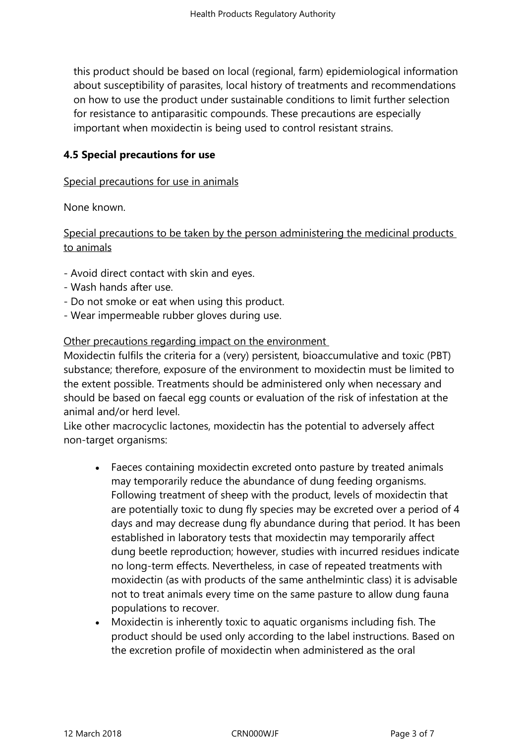this product should be based on local (regional, farm) epidemiological information about susceptibility of parasites, local history of treatments and recommendations on how to use the product under sustainable conditions to limit further selection for resistance to antiparasitic compounds. These precautions are especially important when moxidectin is being used to control resistant strains.

#### **4.5 Special precautions for use**

#### Special precautions for use in animals

None known.

## Special precautions to be taken by the person administering the medicinal products to animals

- Avoid direct contact with skin and eyes.
- Wash hands after use.
- Do not smoke or eat when using this product.
- Wear impermeable rubber gloves during use.

#### Other precautions regarding impact on the environment

Moxidectin fulfils the criteria for a (very) persistent, bioaccumulative and toxic (PBT) substance; therefore, exposure of the environment to moxidectin must be limited to the extent possible. Treatments should be administered only when necessary and should be based on faecal egg counts or evaluation of the risk of infestation at the animal and/or herd level.

Like other macrocyclic lactones, moxidectin has the potential to adversely affect non-target organisms:

- Faeces containing moxidectin excreted onto pasture by treated animals may temporarily reduce the abundance of dung feeding organisms. Following treatment of sheep with the product, levels of moxidectin that are potentially toxic to dung fly species may be excreted over a period of 4 days and may decrease dung fly abundance during that period. It has been established in laboratory tests that moxidectin may temporarily affect dung beetle reproduction; however, studies with incurred residues indicate no long-term effects. Nevertheless, in case of repeated treatments with moxidectin (as with products of the same anthelmintic class) it is advisable not to treat animals every time on the same pasture to allow dung fauna populations to recover.
- Moxidectin is inherently toxic to aquatic organisms including fish. The product should be used only according to the label instructions. Based on the excretion profile of moxidectin when administered as the oral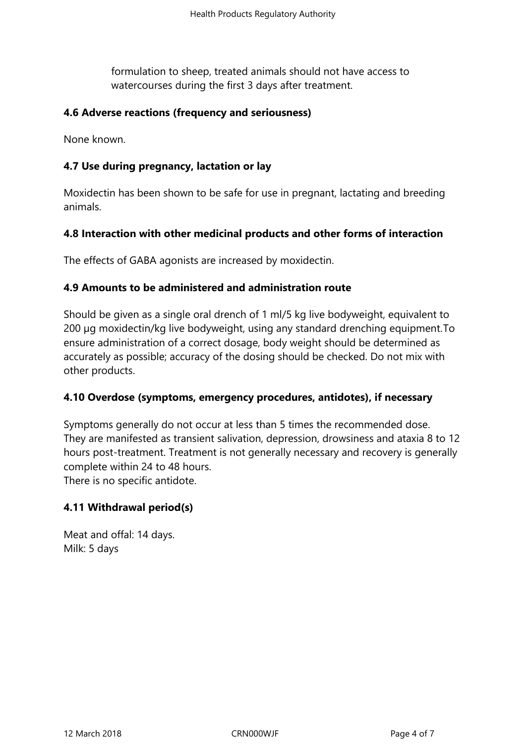formulation to sheep, treated animals should not have access to watercourses during the first 3 days after treatment.

#### **4.6 Adverse reactions (frequency and seriousness)**

None known.

#### **4.7 Use during pregnancy, lactation or lay**

Moxidectin has been shown to be safe for use in pregnant, lactating and breeding animals.

#### **4.8 Interaction with other medicinal products and other forms of interaction**

The effects of GABA agonists are increased by moxidectin.

#### **4.9 Amounts to be administered and administration route**

Should be given as a single oral drench of 1 ml/5 kg live bodyweight, equivalent to 200 µg moxidectin/kg live bodyweight, using any standard drenching equipment.To ensure administration of a correct dosage, body weight should be determined as accurately as possible; accuracy of the dosing should be checked. Do not mix with other products.

#### **4.10 Overdose (symptoms, emergency procedures, antidotes), if necessary**

Symptoms generally do not occur at less than 5 times the recommended dose. They are manifested as transient salivation, depression, drowsiness and ataxia 8 to 12 hours post-treatment. Treatment is not generally necessary and recovery is generally complete within 24 to 48 hours. There is no specific antidote.

## **4.11 Withdrawal period(s)**

Meat and offal: 14 days. Milk: 5 days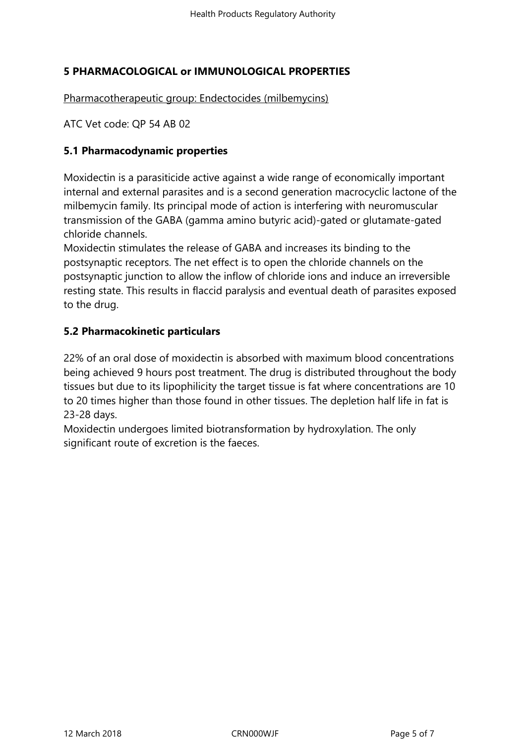# **5 PHARMACOLOGICAL or IMMUNOLOGICAL PROPERTIES**

Pharmacotherapeutic group: Endectocides (milbemycins)

ATC Vet code: QP 54 AB 02

#### **5.1 Pharmacodynamic properties**

Moxidectin is a parasiticide active against a wide range of economically important internal and external parasites and is a second generation macrocyclic lactone of the milbemycin family. Its principal mode of action is interfering with neuromuscular transmission of the GABA (gamma amino butyric acid)-gated or glutamate-gated chloride channels.

Moxidectin stimulates the release of GABA and increases its binding to the postsynaptic receptors. The net effect is to open the chloride channels on the postsynaptic junction to allow the inflow of chloride ions and induce an irreversible resting state. This results in flaccid paralysis and eventual death of parasites exposed to the drug.

## **5.2 Pharmacokinetic particulars**

22% of an oral dose of moxidectin is absorbed with maximum blood concentrations being achieved 9 hours post treatment. The drug is distributed throughout the body tissues but due to its lipophilicity the target tissue is fat where concentrations are 10 to 20 times higher than those found in other tissues. The depletion half life in fat is 23-28 days.

Moxidectin undergoes limited biotransformation by hydroxylation. The only significant route of excretion is the faeces.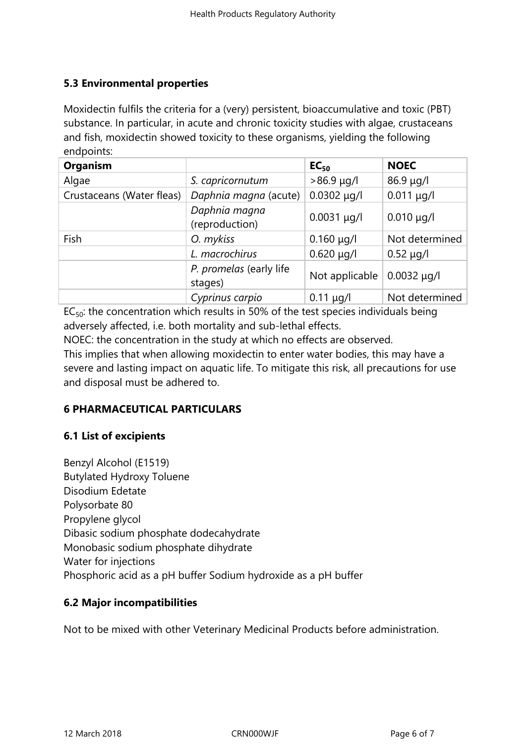# **5.3 Environmental properties**

Moxidectin fulfils the criteria for a (very) persistent, bioaccumulative and toxic (PBT) substance. In particular, in acute and chronic toxicity studies with algae, crustaceans and fish, moxidectin showed toxicity to these organisms, yielding the following endpoints:

| <b>Organism</b>           |                                    | EC <sub>50</sub> | <b>NOEC</b>      |
|---------------------------|------------------------------------|------------------|------------------|
| Algae                     | S. capricornutum                   | $>86.9 \mu g/l$  | $86.9 \mu g/l$   |
| Crustaceans (Water fleas) | Daphnia magna (acute)              | $0.0302 \mu q/l$ | $0.011 \mu q/l$  |
|                           | Daphnia magna<br>(reproduction)    | $0.0031 \mu q/l$ | $0.010 \mu q/l$  |
| Fish                      | O. mykiss                          | $0.160 \mu q/l$  | Not determined   |
|                           | L. macrochirus                     | $0.620 \mu q/l$  | $0.52 \mu g/l$   |
|                           | P. promelas (early life<br>stages) | Not applicable   | $0.0032 \mu q/l$ |
|                           | Cyprinus carpio                    | $0.11 \mu g/l$   | Not determined   |

 $EC_{50}$ : the concentration which results in 50% of the test species individuals being adversely affected, i.e. both mortality and sub-lethal effects.

NOEC: the concentration in the study at which no effects are observed.

This implies that when allowing moxidectin to enter water bodies, this may have a severe and lasting impact on aquatic life. To mitigate this risk, all precautions for use and disposal must be adhered to.

## **6 PHARMACEUTICAL PARTICULARS**

## **6.1 List of excipients**

Benzyl Alcohol (E1519) Butylated Hydroxy Toluene Disodium Edetate Polysorbate 80 Propylene glycol Dibasic sodium phosphate dodecahydrate Monobasic sodium phosphate dihydrate Water for injections Phosphoric acid as a pH buffer Sodium hydroxide as a pH buffer

## **6.2 Major incompatibilities**

Not to be mixed with other Veterinary Medicinal Products before administration.